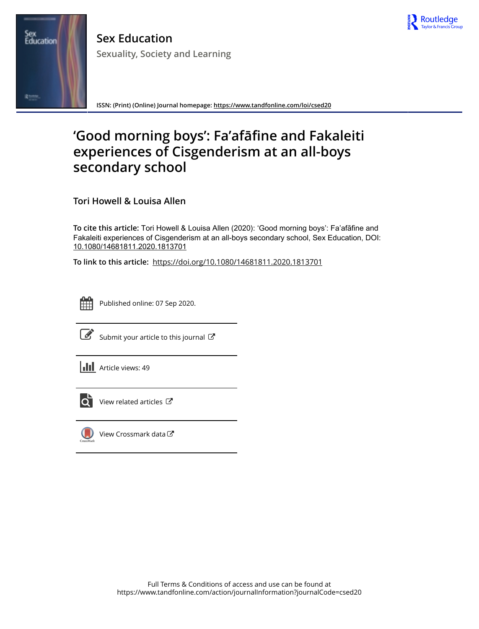

**Sex Education Sexuality, Society and Learning**

**ISSN: (Print) (Online) Journal homepage:<https://www.tandfonline.com/loi/csed20>**

# **'Good morning boys': Fa'afāfine and Fakaleiti experiences of Cisgenderism at an all-boys secondary school**

**Tori Howell & Louisa Allen**

**To cite this article:** Tori Howell & Louisa Allen (2020): 'Good morning boys': Fa'afāfine and Fakaleiti experiences of Cisgenderism at an all-boys secondary school, Sex Education, DOI: [10.1080/14681811.2020.1813701](https://www.tandfonline.com/action/showCitFormats?doi=10.1080/14681811.2020.1813701)

**To link to this article:** <https://doi.org/10.1080/14681811.2020.1813701>

Sex<br>Education

Rtms

Published online: 07 Sep 2020.



 $\overrightarrow{S}$  [Submit your article to this journal](https://www.tandfonline.com/action/authorSubmission?journalCode=csed20&show=instructions)  $\overrightarrow{S}$ 





 $\overline{\mathbf{C}}$  [View related articles](https://www.tandfonline.com/doi/mlt/10.1080/14681811.2020.1813701)  $\mathbf{C}$ 



[View Crossmark data](http://crossmark.crossref.org/dialog/?doi=10.1080/14681811.2020.1813701&domain=pdf&date_stamp=2020-09-07) $\bm{\mathcal{C}}$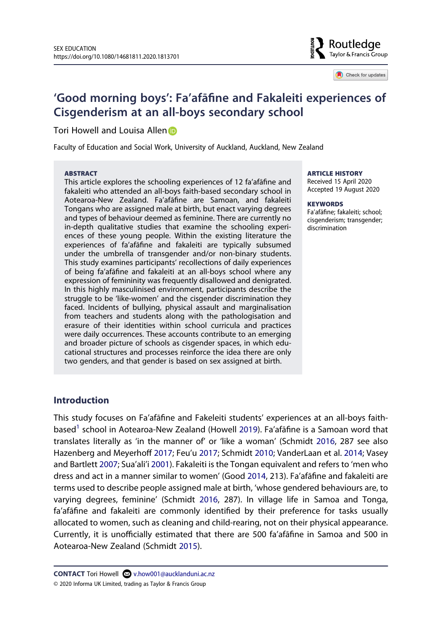

Check for updates

# **'Good morning boys': Fa'afāfine and Fakaleiti experiences of Cisgenderism at an all-boys secondary school**

#### Tori Howell and Louisa Allen D

Faculty of Education and Social Work, University of Auckland, Auckland, New Zealand

#### **ABSTRACT**

This article explores the schooling experiences of 12 fa'afāfine and fakaleiti who attended an all-boys faith-based secondary school in Aotearoa-New Zealand. Fa'afāfine are Samoan, and fakaleiti Tongans who are assigned male at birth, but enact varying degrees and types of behaviour deemed as feminine. There are currently no in-depth qualitative studies that examine the schooling experiences of these young people. Within the existing literature the experiences of fa'afāfine and fakaleiti are typically subsumed under the umbrella of transgender and/or non-binary students. This study examines participants' recollections of daily experiences of being fa'afāfine and fakaleiti at an all-boys school where any expression of femininity was frequently disallowed and denigrated. In this highly masculinised environment, participants describe the struggle to be 'like-women' and the cisgender discrimination they faced. Incidents of bullying, physical assault and marginalisation from teachers and students along with the pathologisation and erasure of their identities within school curricula and practices were daily occurrences. These accounts contribute to an emerging and broader picture of schools as cisgender spaces, in which educational structures and processes reinforce the idea there are only two genders, and that gender is based on sex assigned at birth.

#### **ARTICLE HISTORY**

Received 15 April 2020 Accepted 19 August 2020

#### **KEYWORDS**

Fa'afāfine; fakaleiti; school; cisgenderism; transgender; discrimination

#### **Introduction**

<span id="page-1-5"></span><span id="page-1-4"></span><span id="page-1-3"></span><span id="page-1-2"></span><span id="page-1-1"></span><span id="page-1-0"></span>This study focuses on Fa'afāfine and Fakeleiti students' experiences at an all-boys faith-based<sup>1</sup> school in Aotearoa-New Zealand (Howell [2019\)](#page-13-0). Fa'afāfine is a Samoan word that translates literally as 'in the manner of' or 'like a woman' (Schmidt [2016,](#page-14-0) 287 see also Hazenberg and Meyerhoff [2017](#page-13-1); Feu'u [2017;](#page-13-2) Schmidt [2010](#page-14-1); VanderLaan et al. [2014;](#page-14-2) Vasey and Bartlett [2007](#page-15-0); Sua'ali'i [2001](#page-14-3)). Fakaleiti is the Tongan equivalent and refers to 'men who dress and act in a manner similar to women' (Good [2014,](#page-13-3) 213). Fa'afāfine and fakaleiti are terms used to describe people assigned male at birth, 'whose gendered behaviours are, to varying degrees, feminine' (Schmidt [2016](#page-14-0), 287). In village life in Samoa and Tonga, fa'afāfine and fakaleiti are commonly identified by their preference for tasks usually allocated to women, such as cleaning and child-rearing, not on their physical appearance. Currently, it is unofficially estimated that there are 500 fa'afāfine in Samoa and 500 in Aotearoa-New Zealand (Schmidt [2015](#page-14-4)).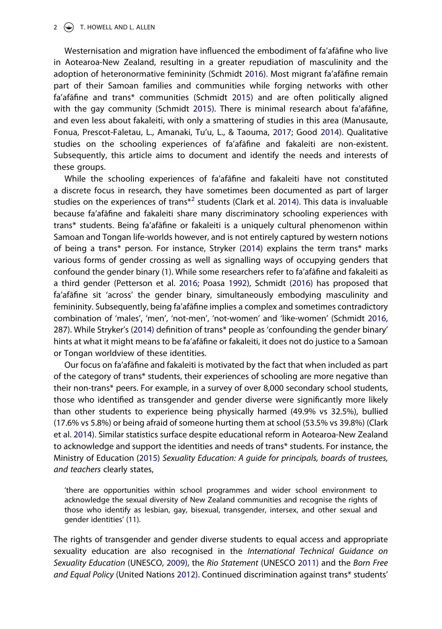#### 2  $\left(\frac{1}{2}\right)$  T. HOWELL AND L. ALLEN

Westernisation and migration have influenced the embodiment of fa'afāfine who live in Aotearoa-New Zealand, resulting in a greater repudiation of masculinity and the adoption of heteronormative femininity (Schmidt [2016](#page-14-0)). Most migrant fa'afāfine remain part of their Samoan families and communities while forging networks with other fa'afāfine and trans\* communities (Schmidt [2015\)](#page-14-4) and are often politically aligned with the gay community (Schmidt [2015](#page-14-4)). There is minimal research about fa'afāfine, and even less about fakaleiti, with only a smattering of studies in this area (Manusaute, Fonua, Prescot-Faletau, L., Amanaki, Tu'u, L., & Taouma, [2017](#page-13-4); Good [2014\)](#page-13-3). Qualitative studies on the schooling experiences of fa'afāfine and fakaleiti are non-existent. Subsequently, this article aims to document and identify the needs and interests of these groups.

<span id="page-2-1"></span>While the schooling experiences of fa'afāfine and fakaleiti have not constituted a discrete focus in research, they have sometimes been documented as part of larger studies on the experiences of trans<sup>\*[2](#page-12-1)</sup> students (Clark et al. [2014\)](#page-12-2). This data is invaluable because fa'afāfine and fakaleiti share many discriminatory schooling experiences with trans\* students. Being fa'afāfine or fakaleiti is a uniquely cultural phenomenon within Samoan and Tongan life-worlds however, and is not entirely captured by western notions of being a trans\* person. For instance, Stryker [\(2014\)](#page-14-5) explains the term trans\* marks various forms of gender crossing as well as signalling ways of occupying genders that confound the gender binary (1). While some researchers refer to fa'afāfine and fakaleiti as a third gender (Petterson et al. [2016;](#page-14-6) Poasa [1992\)](#page-14-7), Schmidt [\(2016\)](#page-14-0) has proposed that fa'afāfine sit 'across' the gender binary, simultaneously embodying masculinity and femininity. Subsequently, being fa'afāfine implies a complex and sometimes contradictory combination of 'males', 'men', 'not-men', 'not-women' and 'like-women' (Schmidt [2016](#page-14-0), 287). While Stryker's ([2014](#page-14-5)) definition of trans\* people as 'confounding the gender binary' hints at what it might means to be fa'afāfine or fakaleiti, it does not do justice to a Samoan or Tongan worldview of these identities.

<span id="page-2-4"></span><span id="page-2-3"></span>Our focus on fa'afāfine and fakaleiti is motivated by the fact that when included as part of the category of trans\* students, their experiences of schooling are more negative than their non-trans\* peers. For example, in a survey of over 8,000 secondary school students, those who identified as transgender and gender diverse were significantly more likely than other students to experience being physically harmed (49.9% vs 32.5%), bullied (17.6% vs 5.8%) or being afraid of someone hurting them at school (53.5% vs 39.8%) (Clark et al. [2014\)](#page-12-2). Similar statistics surface despite educational reform in Aotearoa-New Zealand to acknowledge and support the identities and needs of trans\* students. For instance, the Ministry of Education [\(2015\)](#page-14-8) *Sexuality Education: A guide for principals, boards of trustees, and teachers* clearly states,

<span id="page-2-2"></span><span id="page-2-0"></span>'there are opportunities within school programmes and wider school environment to acknowledge the sexual diversity of New Zealand communities and recognise the rights of those who identify as lesbian, gay, bisexual, transgender, intersex, and other sexual and gender identities' (11).

<span id="page-2-6"></span><span id="page-2-5"></span>The rights of transgender and gender diverse students to equal access and appropriate sexuality education are also recognised in the *International Technical Guidance on Sexuality Education* (UNESCO, [2009](#page-14-9)), the *Rio Statement* (UNESCO [2011](#page-14-10)) and the *Born Free and Equal Policy* (United Nations [2012](#page-14-11)). Continued discrimination against trans\* students'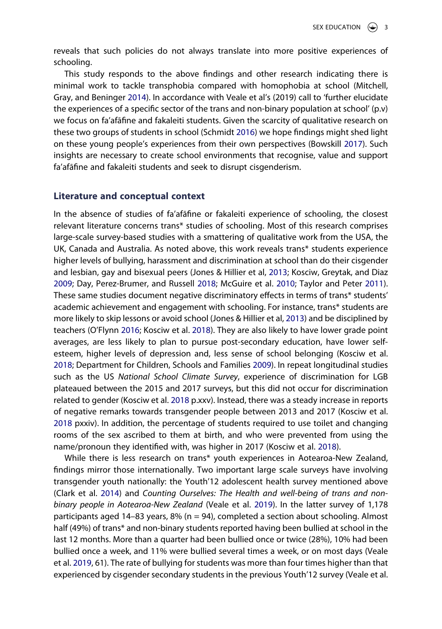reveals that such policies do not always translate into more positive experiences of schooling.

<span id="page-3-6"></span>This study responds to the above findings and other research indicating there is minimal work to tackle transphobia compared with homophobia at school (Mitchell, Gray, and Beninger [2014](#page-14-12)). In accordance with Veale et al's (2019) call to 'further elucidate the experiences of a specific sector of the trans and non-binary population at school' (p.v) we focus on fa'afāfine and fakaleiti students. Given the scarcity of qualitative research on these two groups of students in school (Schmidt [2016](#page-14-0)) we hope findings might shed light on these young people's experiences from their own perspectives (Bowskill [2017\)](#page-12-3). Such insights are necessary to create school environments that recognise, value and support fa'afāfine and fakaleiti students and seek to disrupt cisgenderism.

#### <span id="page-3-0"></span>**Literature and conceptual context**

<span id="page-3-7"></span><span id="page-3-4"></span><span id="page-3-3"></span><span id="page-3-1"></span>In the absence of studies of fa'afāfine or fakaleiti experience of schooling, the closest relevant literature concerns trans\* studies of schooling. Most of this research comprises large-scale survey-based studies with a smattering of qualitative work from the USA, the UK, Canada and Australia. As noted above, this work reveals trans\* students experience higher levels of bullying, harassment and discrimination at school than do their cisgender and lesbian, gay and bisexual peers (Jones & Hillier et al, [2013;](#page-13-5) Kosciw, Greytak, and Diaz [2009;](#page-13-6) Day, Perez-Brumer, and Russell [2018;](#page-13-7) McGuire et al. [2010](#page-14-13); Taylor and Peter [2011](#page-14-14)). These same studies document negative discriminatory effects in terms of trans\* students' academic achievement and engagement with schooling. For instance, trans\* students are more likely to skip lessons or avoid school (Jones & Hillier et al, [2013\)](#page-13-5) and be disciplined by teachers (O'Flynn [2016;](#page-14-15) Kosciw et al. [2018](#page-13-8)). They are also likely to have lower grade point averages, are less likely to plan to pursue post-secondary education, have lower selfesteem, higher levels of depression and, less sense of school belonging (Kosciw et al. [2018;](#page-13-8) Department for Children, Schools and Families [2009\)](#page-13-9). In repeat longitudinal studies such as the US *National School Climate Survey*, experience of discrimination for LGB plateaued between the 2015 and 2017 surveys, but this did not occur for discrimination related to gender (Kosciw et al. [2018](#page-13-8) p.xxv). Instead, there was a steady increase in reports of negative remarks towards transgender people between 2013 and 2017 (Kosciw et al. [2018](#page-13-8) pxxiv). In addition, the percentage of students required to use toilet and changing rooms of the sex ascribed to them at birth, and who were prevented from using the name/pronoun they identified with, was higher in 2017 (Kosciw et al. [2018\)](#page-13-8).

<span id="page-3-8"></span><span id="page-3-5"></span><span id="page-3-2"></span>While there is less research on trans\* youth experiences in Aotearoa-New Zealand, findings mirror those internationally. Two important large scale surveys have involving transgender youth nationally: the Youth'12 adolescent health survey mentioned above (Clark et al. [2014\)](#page-12-2) and *Counting Ourselves: The Health and well-being of trans and nonbinary people in Aotearoa-New Zealand* (Veale et al. [2019](#page-15-1)). In the latter survey of 1,178 participants aged 14–83 years, 8% ( $n = 94$ ), completed a section about schooling. Almost half (49%) of trans\* and non-binary students reported having been bullied at school in the last 12 months. More than a quarter had been bullied once or twice (28%), 10% had been bullied once a week, and 11% were bullied several times a week, or on most days (Veale et al. [2019](#page-15-1), 61). The rate of bullying for students was more than four times higher than that experienced by cisgender secondary students in the previous Youth'12 survey (Veale et al.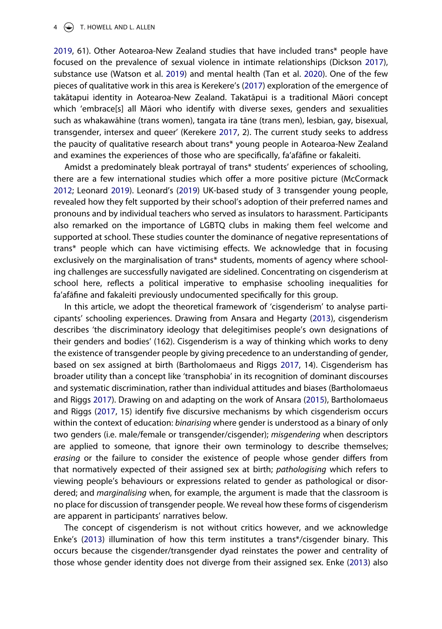#### $4 \quad (*)$  T. HOWELL AND L. ALLEN

<span id="page-4-8"></span><span id="page-4-3"></span>[2019,](#page-15-1) 61). Other Aotearoa-New Zealand studies that have included trans\* people have focused on the prevalence of sexual violence in intimate relationships (Dickson [2017](#page-13-10)), substance use (Watson et al. [2019\)](#page-15-2) and mental health (Tan et al. [2020](#page-14-16)). One of the few pieces of qualitative work in this area is Kerekere's ([2017](#page-13-11)) exploration of the emergence of takātapui identity in Aotearoa-New Zealand. Takatāpui is a traditional Māori concept which 'embrace[s] all Māori who identify with diverse sexes, genders and sexualities such as whakawāhine (trans women), tangata ira tāne (trans men), lesbian, gay, bisexual, transgender, intersex and queer' (Kerekere [2017](#page-13-11), 2). The current study seeks to address the paucity of qualitative research about trans\* young people in Aotearoa-New Zealand and examines the experiences of those who are specifically, fa'afāfine or fakaleiti.

<span id="page-4-7"></span><span id="page-4-6"></span><span id="page-4-5"></span>Amidst a predominately bleak portrayal of trans\* students' experiences of schooling, there are a few international studies which offer a more positive picture (McCormack [2012;](#page-13-12) Leonard [2019\)](#page-13-13). Leonard's ([2019](#page-13-13)) UK-based study of 3 transgender young people, revealed how they felt supported by their school's adoption of their preferred names and pronouns and by individual teachers who served as insulators to harassment. Participants also remarked on the importance of LGBTQ clubs in making them feel welcome and supported at school. These studies counter the dominance of negative representations of trans\* people which can have victimising effects. We acknowledge that in focusing exclusively on the marginalisation of trans\* students, moments of agency where schooling challenges are successfully navigated are sidelined. Concentrating on cisgenderism at school here, reflects a political imperative to emphasise schooling inequalities for fa'afāfine and fakaleiti previously undocumented specifically for this group.

<span id="page-4-2"></span><span id="page-4-1"></span><span id="page-4-0"></span>In this article, we adopt the theoretical framework of 'cisgenderism' to analyse participants' schooling experiences. Drawing from Ansara and Hegarty ([2013](#page-12-4)), cisgenderism describes 'the discriminatory ideology that delegitimises people's own designations of their genders and bodies' (162). Cisgenderism is a way of thinking which works to deny the existence of transgender people by giving precedence to an understanding of gender, based on sex assigned at birth (Bartholomaeus and Riggs [2017,](#page-12-5) 14). Cisgenderism has broader utility than a concept like 'transphobia' in its recognition of dominant discourses and systematic discrimination, rather than individual attitudes and biases (Bartholomaeus and Riggs [2017\)](#page-12-5). Drawing on and adapting on the work of Ansara ([2015](#page-12-6)), Bartholomaeus and Riggs [\(2017,](#page-12-5) 15) identify five discursive mechanisms by which cisgenderism occurs within the context of education: *binarising* where gender is understood as a binary of only two genders (i.e. male/female or transgender/cisgender); *misgendering* when descriptors are applied to someone, that ignore their own terminology to describe themselves; *erasing* or the failure to consider the existence of people whose gender differs from that normatively expected of their assigned sex at birth; *pathologising* which refers to viewing people's behaviours or expressions related to gender as pathological or disordered; and *marginalising* when, for example, the argument is made that the classroom is no place for discussion of transgender people. We reveal how these forms of cisgenderism are apparent in participants' narratives below.

<span id="page-4-4"></span>The concept of cisgenderism is not without critics however, and we acknowledge Enke's ([2013](#page-13-14)) illumination of how this term institutes a trans\*/cisgender binary. This occurs because the cisgender/transgender dyad reinstates the power and centrality of those whose gender identity does not diverge from their assigned sex. Enke [\(2013\)](#page-13-14) also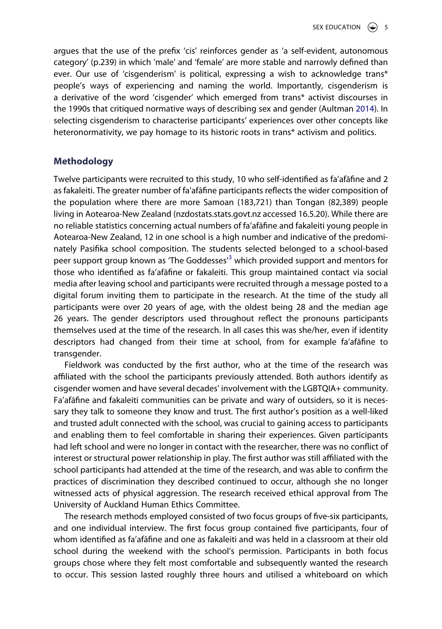<span id="page-5-0"></span>argues that the use of the prefix 'cis' reinforces gender as 'a self-evident, autonomous category' (p.239) in which 'male' and 'female' are more stable and narrowly defined than ever. Our use of 'cisgenderism' is political, expressing a wish to acknowledge trans\* people's ways of experiencing and naming the world. Importantly, cisgenderism is a derivative of the word 'cisgender' which emerged from trans\* activist discourses in the 1990s that critiqued normative ways of describing sex and gender (Aultman [2014\)](#page-12-7). In selecting cisgenderism to characterise participants' experiences over other concepts like heteronormativity, we pay homage to its historic roots in trans\* activism and politics.

# **Methodology**

Twelve participants were recruited to this study, 10 who self-identified as fa'afāfine and 2 as fakaleiti. The greater number of fa'afāfine participants reflects the wider composition of the population where there are more Samoan (183,721) than Tongan (82,389) people living in Aotearoa-New Zealand (nzdostats.stats.govt.nz accessed 16.5.20). While there are no reliable statistics concerning actual numbers of fa'afāfine and fakaleiti young people in Aotearoa-New Zealand, 12 in one school is a high number and indicative of the predominately Pasifika school composition. The students selected belonged to a school-based peer support group known as 'The Goddesses'<sup>[3](#page-12-8)</sup> which provided support and mentors for those who identified as fa'afāfine or fakaleiti. This group maintained contact via social media after leaving school and participants were recruited through a message posted to a digital forum inviting them to participate in the research. At the time of the study all participants were over 20 years of age, with the oldest being 28 and the median age 26 years. The gender descriptors used throughout reflect the pronouns participants themselves used at the time of the research. In all cases this was she/her, even if identity descriptors had changed from their time at school, from for example fa'afāfine to transgender.

Fieldwork was conducted by the first author, who at the time of the research was affiliated with the school the participants previously attended. Both authors identify as cisgender women and have several decades' involvement with the LGBTQIA+ community. Fa'afāfine and fakaleiti communities can be private and wary of outsiders, so it is necessary they talk to someone they know and trust. The first author's position as a well-liked and trusted adult connected with the school, was crucial to gaining access to participants and enabling them to feel comfortable in sharing their experiences. Given participants had left school and were no longer in contact with the researcher, there was no conflict of interest or structural power relationship in play. The first author was still affiliated with the school participants had attended at the time of the research, and was able to confirm the practices of discrimination they described continued to occur, although she no longer witnessed acts of physical aggression. The research received ethical approval from The University of Auckland Human Ethics Committee.

The research methods employed consisted of two focus groups of five-six participants, and one individual interview. The first focus group contained five participants, four of whom identified as fa'afāfine and one as fakaleiti and was held in a classroom at their old school during the weekend with the school's permission. Participants in both focus groups chose where they felt most comfortable and subsequently wanted the research to occur. This session lasted roughly three hours and utilised a whiteboard on which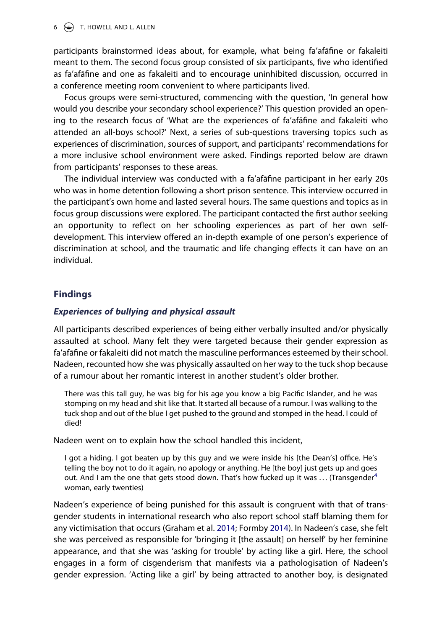#### $6 \quad \Leftrightarrow$  T. HOWELL AND L. ALLEN

participants brainstormed ideas about, for example, what being fa'afāfine or fakaleiti meant to them. The second focus group consisted of six participants, five who identified as fa'afāfine and one as fakaleiti and to encourage uninhibited discussion, occurred in a conference meeting room convenient to where participants lived.

Focus groups were semi-structured, commencing with the question, 'In general how would you describe your secondary school experience?' This question provided an opening to the research focus of 'What are the experiences of fa'afāfine and fakaleiti who attended an all-boys school?' Next, a series of sub-questions traversing topics such as experiences of discrimination, sources of support, and participants' recommendations for a more inclusive school environment were asked. Findings reported below are drawn from participants' responses to these areas.

The individual interview was conducted with a fa'afāfine participant in her early 20s who was in home detention following a short prison sentence. This interview occurred in the participant's own home and lasted several hours. The same questions and topics as in focus group discussions were explored. The participant contacted the first author seeking an opportunity to reflect on her schooling experiences as part of her own selfdevelopment. This interview offered an in-depth example of one person's experience of discrimination at school, and the traumatic and life changing effects it can have on an individual.

# **Findings**

#### *Experiences of bullying and physical assault*

All participants described experiences of being either verbally insulted and/or physically assaulted at school. Many felt they were targeted because their gender expression as fa'afāfine or fakaleiti did not match the masculine performances esteemed by their school. Nadeen, recounted how she was physically assaulted on her way to the tuck shop because of a rumour about her romantic interest in another student's older brother.

There was this tall guy, he was big for his age you know a big Pacific Islander, and he was stomping on my head and shit like that. It started all because of a rumour. I was walking to the tuck shop and out of the blue I get pushed to the ground and stomped in the head. I could of died!

Nadeen went on to explain how the school handled this incident,

I got a hiding. I got beaten up by this guy and we were inside his [the Dean's] office. He's telling the boy not to do it again, no apology or anything. He [the boy] just gets up and goes out. And I am the one that gets stood down. That's how fucked up it was ... (Transgender<sup>[4](#page-12-9)</sup> woman, early twenties)

<span id="page-6-0"></span>Nadeen's experience of being punished for this assault is congruent with that of transgender students in international research who also report school staff blaming them for any victimisation that occurs (Graham et al. [2014;](#page-13-15) Formby [2014](#page-13-16)). In Nadeen's case, she felt she was perceived as responsible for 'bringing it [the assault] on herself' by her feminine appearance, and that she was 'asking for trouble' by acting like a girl. Here, the school engages in a form of cisgenderism that manifests via a pathologisation of Nadeen's gender expression. 'Acting like a girl' by being attracted to another boy, is designated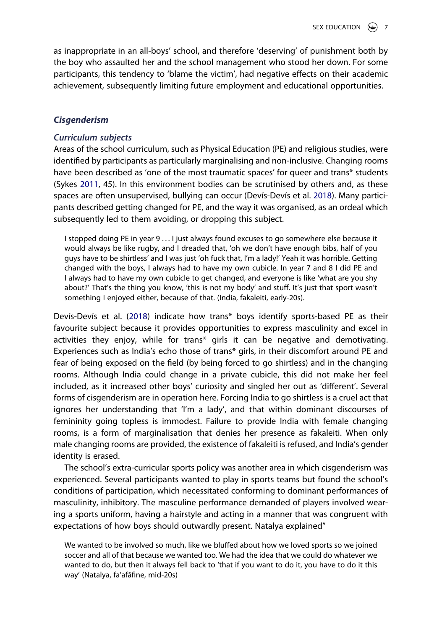as inappropriate in an all-boys' school, and therefore 'deserving' of punishment both by the boy who assaulted her and the school management who stood her down. For some participants, this tendency to 'blame the victim', had negative effects on their academic achievement, subsequently limiting future employment and educational opportunities.

#### *Cisgenderism*

#### *Curriculum subjects*

<span id="page-7-1"></span>Areas of the school curriculum, such as Physical Education (PE) and religious studies, were identified by participants as particularly marginalising and non-inclusive. Changing rooms have been described as 'one of the most traumatic spaces' for queer and trans\* students (Sykes [2011,](#page-14-17) 45). In this environment bodies can be scrutinised by others and, as these spaces are often unsupervised, bullying can occur (Devís-Devís et al. [2018](#page-13-17)). Many participants described getting changed for PE, and the way it was organised, as an ordeal which subsequently led to them avoiding, or dropping this subject.

I stopped doing PE in year 9 . . . I just always found excuses to go somewhere else because it would always be like rugby, and I dreaded that, 'oh we don't have enough bibs, half of you guys have to be shirtless' and I was just 'oh fuck that, I'm a lady!' Yeah it was horrible. Getting changed with the boys, I always had to have my own cubicle. In year 7 and 8 I did PE and I always had to have my own cubicle to get changed, and everyone is like 'what are you shy about?' That's the thing you know, 'this is not my body' and stuff. It's just that sport wasn't something I enjoyed either, because of that. (India, fakaleiti, early-20s).

<span id="page-7-0"></span>Devís-Devís et al. [\(2018\)](#page-13-17) indicate how trans\* boys identify sports-based PE as their favourite subject because it provides opportunities to express masculinity and excel in activities they enjoy, while for trans\* girls it can be negative and demotivating. Experiences such as India's echo those of trans\* girls, in their discomfort around PE and fear of being exposed on the field (by being forced to go shirtless) and in the changing rooms. Although India could change in a private cubicle, this did not make her feel included, as it increased other boys' curiosity and singled her out as 'different'. Several forms of cisgenderism are in operation here. Forcing India to go shirtless is a cruel act that ignores her understanding that 'I'm a lady', and that within dominant discourses of femininity going topless is immodest. Failure to provide India with female changing rooms, is a form of marginalisation that denies her presence as fakaleiti. When only male changing rooms are provided, the existence of fakaleiti is refused, and India's gender identity is erased.

The school's extra-curricular sports policy was another area in which cisgenderism was experienced. Several participants wanted to play in sports teams but found the school's conditions of participation, which necessitated conforming to dominant performances of masculinity, inhibitory. The masculine performance demanded of players involved wearing a sports uniform, having a hairstyle and acting in a manner that was congruent with expectations of how boys should outwardly present. Natalya explained"

We wanted to be involved so much, like we bluffed about how we loved sports so we joined soccer and all of that because we wanted too. We had the idea that we could do whatever we wanted to do, but then it always fell back to 'that if you want to do it, you have to do it this way' (Natalya, fa'afāfine, mid-20s)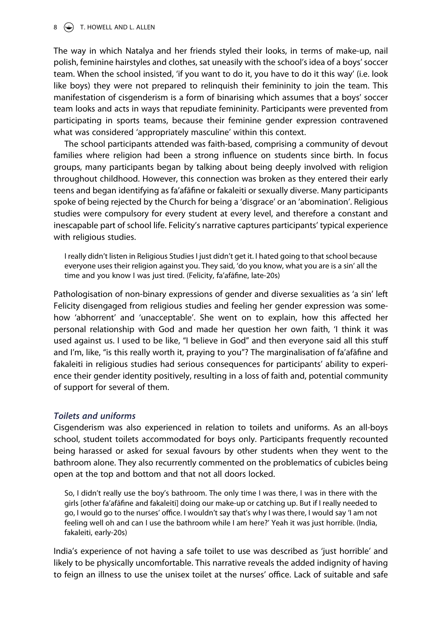#### $8 \quad (*)$  T. HOWELL AND L. ALLEN

The way in which Natalya and her friends styled their looks, in terms of make-up, nail polish, feminine hairstyles and clothes, sat uneasily with the school's idea of a boys' soccer team. When the school insisted, 'if you want to do it, you have to do it this way' (i.e. look like boys) they were not prepared to relinquish their femininity to join the team. This manifestation of cisgenderism is a form of binarising which assumes that a boys' soccer team looks and acts in ways that repudiate femininity. Participants were prevented from participating in sports teams, because their feminine gender expression contravened what was considered 'appropriately masculine' within this context.

The school participants attended was faith-based, comprising a community of devout families where religion had been a strong influence on students since birth. In focus groups, many participants began by talking about being deeply involved with religion throughout childhood. However, this connection was broken as they entered their early teens and began identifying as fa'afāfine or fakaleiti or sexually diverse. Many participants spoke of being rejected by the Church for being a 'disgrace' or an 'abomination'. Religious studies were compulsory for every student at every level, and therefore a constant and inescapable part of school life. Felicity's narrative captures participants' typical experience with religious studies.

I really didn't listen in Religious Studies I just didn't get it. I hated going to that school because everyone uses their religion against you. They said, 'do you know, what you are is a sin' all the time and you know I was just tired. (Felicity, fa'afāfine, late-20s)

Pathologisation of non-binary expressions of gender and diverse sexualities as 'a sin' left Felicity disengaged from religious studies and feeling her gender expression was somehow 'abhorrent' and 'unacceptable'. She went on to explain, how this affected her personal relationship with God and made her question her own faith, 'I think it was used against us. I used to be like, "I believe in God" and then everyone said all this stuff and I'm, like, "is this really worth it, praying to you"? The marginalisation of fa'afāfine and fakaleiti in religious studies had serious consequences for participants' ability to experience their gender identity positively, resulting in a loss of faith and, potential community of support for several of them.

# *Toilets and uniforms*

Cisgenderism was also experienced in relation to toilets and uniforms. As an all-boys school, student toilets accommodated for boys only. Participants frequently recounted being harassed or asked for sexual favours by other students when they went to the bathroom alone. They also recurrently commented on the problematics of cubicles being open at the top and bottom and that not all doors locked.

So, I didn't really use the boy's bathroom. The only time I was there, I was in there with the girls [other fa'afāfine and fakaleiti] doing our make-up or catching up. But if I really needed to go, I would go to the nurses' office. I wouldn't say that's why I was there, I would say 'I am not feeling well oh and can I use the bathroom while I am here?' Yeah it was just horrible. (India, fakaleiti, early-20s)

India's experience of not having a safe toilet to use was described as 'just horrible' and likely to be physically uncomfortable. This narrative reveals the added indignity of having to feign an illness to use the unisex toilet at the nurses' office. Lack of suitable and safe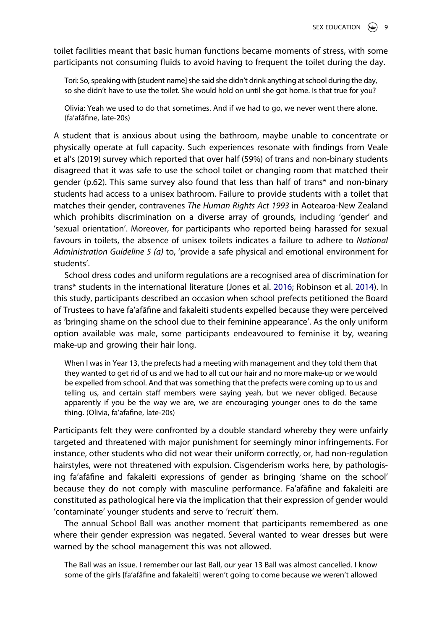toilet facilities meant that basic human functions became moments of stress, with some participants not consuming fluids to avoid having to frequent the toilet during the day.

Tori: So, speaking with [student name] she said she didn't drink anything at school during the day, so she didn't have to use the toilet. She would hold on until she got home. Is that true for you?

Olivia: Yeah we used to do that sometimes. And if we had to go, we never went there alone. (fa'afāfine, late-20s)

A student that is anxious about using the bathroom, maybe unable to concentrate or physically operate at full capacity. Such experiences resonate with findings from Veale et al's (2019) survey which reported that over half (59%) of trans and non-binary students disagreed that it was safe to use the school toilet or changing room that matched their gender (p.62). This same survey also found that less than half of trans\* and non-binary students had access to a unisex bathroom. Failure to provide students with a toilet that matches their gender, contravenes *The Human Rights Act 1993* in Aotearoa-New Zealand which prohibits discrimination on a diverse array of grounds, including 'gender' and 'sexual orientation'. Moreover, for participants who reported being harassed for sexual favours in toilets, the absence of unisex toilets indicates a failure to adhere to *National Administration Guideline 5 (a)* to, 'provide a safe physical and emotional environment for students'.

<span id="page-9-0"></span>School dress codes and uniform regulations are a recognised area of discrimination for trans\* students in the international literature (Jones et al. [2016](#page-13-18); Robinson et al. [2014](#page-14-18)). In this study, participants described an occasion when school prefects petitioned the Board of Trustees to have fa'afāfine and fakaleiti students expelled because they were perceived as 'bringing shame on the school due to their feminine appearance'. As the only uniform option available was male, some participants endeavoured to feminise it by, wearing make-up and growing their hair long.

When I was in Year 13, the prefects had a meeting with management and they told them that they wanted to get rid of us and we had to all cut our hair and no more make-up or we would be expelled from school. And that was something that the prefects were coming up to us and telling us, and certain staff members were saying yeah, but we never obliged. Because apparently if you be the way we are, we are encouraging younger ones to do the same thing. (Olivia, fa'afafine, late-20s)

Participants felt they were confronted by a double standard whereby they were unfairly targeted and threatened with major punishment for seemingly minor infringements. For instance, other students who did not wear their uniform correctly, or, had non-regulation hairstyles, were not threatened with expulsion. Cisgenderism works here, by pathologising fa'afāfine and fakaleiti expressions of gender as bringing 'shame on the school' because they do not comply with masculine performance. Fa'afāfine and fakaleiti are constituted as pathological here via the implication that their expression of gender would 'contaminate' younger students and serve to 'recruit' them.

The annual School Ball was another moment that participants remembered as one where their gender expression was negated. Several wanted to wear dresses but were warned by the school management this was not allowed.

The Ball was an issue. I remember our last Ball, our year 13 Ball was almost cancelled. I know some of the girls [fa'afāfine and fakaleiti] weren't going to come because we weren't allowed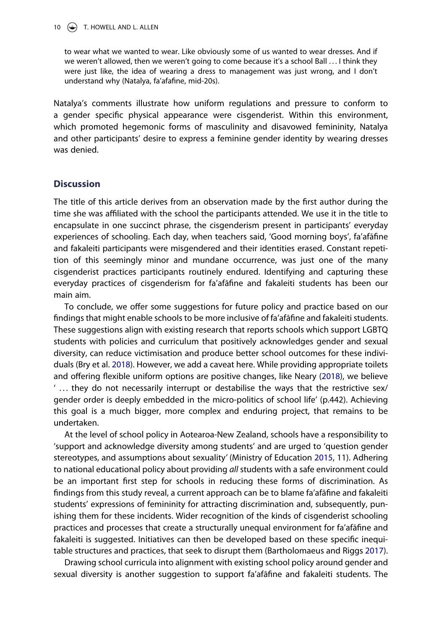10 T. HOWELL AND L. ALLEN

to wear what we wanted to wear. Like obviously some of us wanted to wear dresses. And if we weren't allowed, then we weren't going to come because it's a school Ball . . . I think they were just like, the idea of wearing a dress to management was just wrong, and I don't understand why (Natalya, fa'afafine, mid-20s).

Natalya's comments illustrate how uniform regulations and pressure to conform to a gender specific physical appearance were cisgenderist. Within this environment, which promoted hegemonic forms of masculinity and disavowed femininity, Natalya and other participants' desire to express a feminine gender identity by wearing dresses was denied.

#### **Discussion**

The title of this article derives from an observation made by the first author during the time she was affiliated with the school the participants attended. We use it in the title to encapsulate in one succinct phrase, the cisgenderism present in participants' everyday experiences of schooling. Each day, when teachers said, 'Good morning boys', fa'afāfine and fakaleiti participants were misgendered and their identities erased. Constant repetition of this seemingly minor and mundane occurrence, was just one of the many cisgenderist practices participants routinely endured. Identifying and capturing these everyday practices of cisgenderism for fa'afāfine and fakaleiti students has been our main aim.

<span id="page-10-0"></span>To conclude, we offer some suggestions for future policy and practice based on our findings that might enable schools to be more inclusive of fa'afāfine and fakaleiti students. These suggestions align with existing research that reports schools which support LGBTQ students with policies and curriculum that positively acknowledges gender and sexual diversity, can reduce victimisation and produce better school outcomes for these individuals (Bry et al. [2018](#page-12-10)). However, we add a caveat here. While providing appropriate toilets and offering flexible uniform options are positive changes, like Neary [\(2018\)](#page-14-19), we believe  $'$ ... they do not necessarily interrupt or destabilise the ways that the restrictive sex/ gender order is deeply embedded in the micro-politics of school life' (p.442). Achieving this goal is a much bigger, more complex and enduring project, that remains to be undertaken.

<span id="page-10-1"></span>At the level of school policy in Aotearoa-New Zealand, schools have a responsibility to 'support and acknowledge diversity among students' and are urged to 'question gender stereotypes, and assumptions about sexuality*'* (Ministry of Education [2015,](#page-14-8) 11). Adhering to national educational policy about providing *all* students with a safe environment could be an important first step for schools in reducing these forms of discrimination. As findings from this study reveal, a current approach can be to blame fa'afāfine and fakaleiti students' expressions of femininity for attracting discrimination and, subsequently, punishing them for these incidents. Wider recognition of the kinds of cisgenderist schooling practices and processes that create a structurally unequal environment for fa'afāfine and fakaleiti is suggested. Initiatives can then be developed based on these specific inequitable structures and practices, that seek to disrupt them (Bartholomaeus and Riggs [2017](#page-12-5)).

Drawing school curricula into alignment with existing school policy around gender and sexual diversity is another suggestion to support fa'afāfine and fakaleiti students. The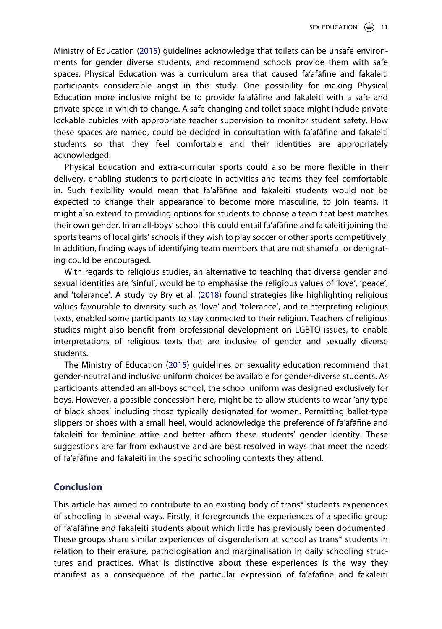Ministry of Education ([2015](#page-14-8)) guidelines acknowledge that toilets can be unsafe environments for gender diverse students, and recommend schools provide them with safe spaces. Physical Education was a curriculum area that caused fa'afāfine and fakaleiti participants considerable angst in this study. One possibility for making Physical Education more inclusive might be to provide fa'afāfine and fakaleiti with a safe and private space in which to change. A safe changing and toilet space might include private lockable cubicles with appropriate teacher supervision to monitor student safety. How these spaces are named, could be decided in consultation with fa'afāfine and fakaleiti students so that they feel comfortable and their identities are appropriately acknowledged.

Physical Education and extra-curricular sports could also be more flexible in their delivery, enabling students to participate in activities and teams they feel comfortable in. Such flexibility would mean that fa'afāfine and fakaleiti students would not be expected to change their appearance to become more masculine, to join teams. It might also extend to providing options for students to choose a team that best matches their own gender. In an all-boys' school this could entail fa'afāfine and fakaleiti joining the sports teams of local girls' schools if they wish to play soccer or other sports competitively. In addition, finding ways of identifying team members that are not shameful or denigrating could be encouraged.

With regards to religious studies, an alternative to teaching that diverse gender and sexual identities are 'sinful', would be to emphasise the religious values of 'love', 'peace', and 'tolerance'. A study by Bry et al. [\(2018\)](#page-12-10) found strategies like highlighting religious values favourable to diversity such as 'love' and 'tolerance', and reinterpreting religious texts, enabled some participants to stay connected to their religion. Teachers of religious studies might also benefit from professional development on LGBTQ issues, to enable interpretations of religious texts that are inclusive of gender and sexually diverse students.

The Ministry of Education [\(2015\)](#page-14-8) guidelines on sexuality education recommend that gender-neutral and inclusive uniform choices be available for gender-diverse students. As participants attended an all-boys school, the school uniform was designed exclusively for boys. However, a possible concession here, might be to allow students to wear 'any type of black shoes' including those typically designated for women. Permitting ballet-type slippers or shoes with a small heel, would acknowledge the preference of fa'afāfine and fakaleiti for feminine attire and better affirm these students' gender identity. These suggestions are far from exhaustive and are best resolved in ways that meet the needs of fa'afāfine and fakaleiti in the specific schooling contexts they attend.

# **Conclusion**

This article has aimed to contribute to an existing body of trans\* students experiences of schooling in several ways. Firstly, it foregrounds the experiences of a specific group of fa'afāfine and fakaleiti students about which little has previously been documented. These groups share similar experiences of cisgenderism at school as trans\* students in relation to their erasure, pathologisation and marginalisation in daily schooling structures and practices. What is distinctive about these experiences is the way they manifest as a consequence of the particular expression of fa'afāfine and fakaleiti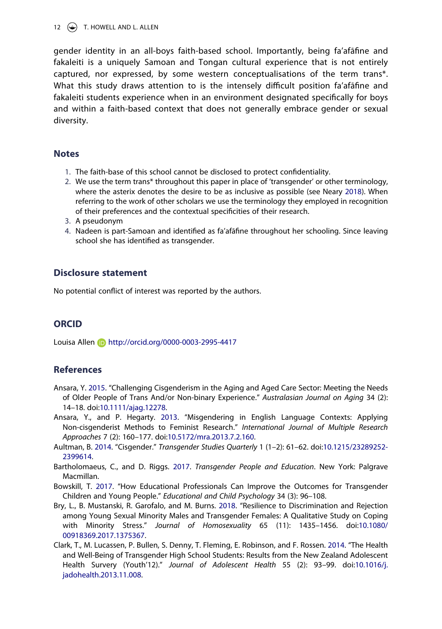12  $\left(\rightarrow\right)$  T. HOWELL AND L. ALLEN

gender identity in an all-boys faith-based school. Importantly, being fa'afāfine and fakaleiti is a uniquely Samoan and Tongan cultural experience that is not entirely captured, nor expressed, by some western conceptualisations of the term trans\*. What this study draws attention to is the intensely difficult position fa'afāfine and fakaleiti students experience when in an environment designated specifically for boys and within a faith-based context that does not generally embrace gender or sexual diversity.

#### **Notes**

- <span id="page-12-0"></span>1. The faith-base of this school cannot be disclosed to protect confidentiality.
- <span id="page-12-1"></span>2. We use the term trans\* throughout this paper in place of 'transgender' or other terminology, where the asterix denotes the desire to be as inclusive as possible (see Neary [2018\)](#page-14-19). When referring to the work of other scholars we use the terminology they employed in recognition of their preferences and the contextual specificities of their research.
- <span id="page-12-8"></span>3. A pseudonym
- <span id="page-12-9"></span>4. Nadeen is part-Samoan and identified as fa'afāfine throughout her schooling. Since leaving school she has identified as transgender.

#### **Disclosure statement**

No potential conflict of interest was reported by the authors.

#### **ORCID**

Louisa Allen http://orcid.org/0000-0003-2995-4417

#### **References**

- <span id="page-12-6"></span>Ansara, Y. [2015](#page-4-0). "Challenging Cisgenderism in the Aging and Aged Care Sector: Meeting the Needs of Older People of Trans And/or Non-binary Experience." *Australasian Journal on Aging* 34 (2): 14–18. doi:[10.1111/ajag.12278.](https://doi.org/10.1111/ajag.12278)
- <span id="page-12-4"></span>Ansara, Y., and P. Hegarty. [2013](#page-4-1). "Misgendering in English Language Contexts: Applying Non-cisgenderist Methods to Feminist Research." *International Journal of Multiple Research Approaches* 7 (2): 160–177. doi:[10.5172/mra.2013.7.2.160.](https://doi.org/10.5172/mra.2013.7.2.160)
- <span id="page-12-7"></span>Aultman, B. [2014](#page-5-0). "Cisgender." *Transgender Studies Quarterly* 1 (1–2): 61–62. doi:[10.1215/23289252-](https://doi.org/10.1215/23289252-2399614) [2399614](https://doi.org/10.1215/23289252-2399614).
- <span id="page-12-5"></span>Bartholomaeus, C., and D. Riggs. [2017.](#page-4-2) *Transgender People and Education*. New York: Palgrave Macmillan.
- <span id="page-12-3"></span>Bowskill, T. [2017](#page-3-0). "How Educational Professionals Can Improve the Outcomes for Transgender Children and Young People." *Educational and Child Psychology* 34 (3): 96–108.
- <span id="page-12-10"></span>Bry, L., B. Mustanski, R. Garofalo, and M. Burns. [2018.](#page-10-0) "Resilience to Discrimination and Rejection among Young Sexual Minority Males and Transgender Females: A Qualitative Study on Coping with Minority Stress." *Journal of Homosexuality* 65 (11): 1435–1456. doi:[10.1080/](https://doi.org/10.1080/00918369.2017.1375367) [00918369.2017.1375367](https://doi.org/10.1080/00918369.2017.1375367).
- <span id="page-12-2"></span>Clark, T., M. Lucassen, P. Bullen, S. Denny, T. Fleming, E. Robinson, and F. Rossen. [2014.](#page-2-0) "The Health and Well-Being of Transgender High School Students: Results from the New Zealand Adolescent Health Survery (Youth'12)." *Journal of Adolescent Health* 55 (2): 93–99. doi:[10.1016/j.](https://doi.org/10.1016/j.jadohealth.2013.11.008) [jadohealth.2013.11.008.](https://doi.org/10.1016/j.jadohealth.2013.11.008)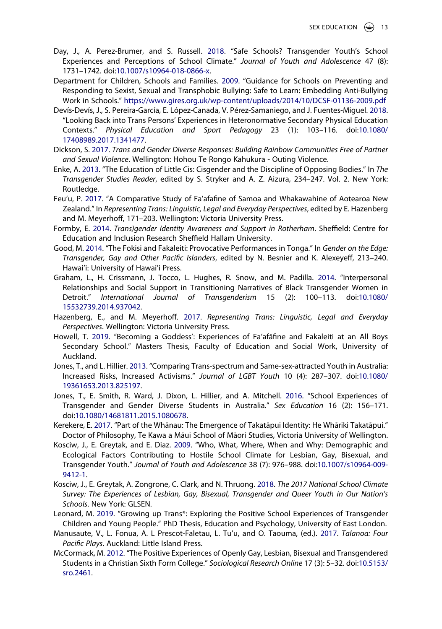- <span id="page-13-7"></span>Day, J., A. Perez-Brumer, and S. Russell. [2018](#page-3-1). "Safe Schools? Transgender Youth's School Experiences and Perceptions of School Climate." *Journal of Youth and Adolescence* 47 (8): 1731–1742. doi:[10.1007/s10964-018-0866-x.](https://doi.org/10.1007/s10964-018-0866-x)
- <span id="page-13-9"></span>Department for Children, Schools and Families. [2009.](#page-3-2) "Guidance for Schools on Preventing and Responding to Sexist, Sexual and Transphobic Bullying: Safe to Learn: Embedding Anti-Bullying Work in Schools." <https://www.gires.org.uk/wp-content/uploads/2014/10/DCSF-01136-2009.pdf>
- <span id="page-13-17"></span>Devís-Devís, J., S. Pereira-García, E. López-Canada, V. Pérez-Samaniego, and J. Fuentes-Miguel. [2018](#page-7-0). "Looking Back into Trans Persons' Experiences in Heteronormative Secondary Physical Education Contexts." *Physical Education and Sport Pedagogy* 23 (1): 103–116. doi:[10.1080/](https://doi.org/10.1080/17408989.2017.1341477) [17408989.2017.1341477](https://doi.org/10.1080/17408989.2017.1341477).
- <span id="page-13-10"></span>Dickson, S. [2017](#page-4-3). *Trans and Gender Diverse Responses: Building Rainbow Communities Free of Partner and Sexual Violence*. Wellington: Hohou Te Rongo Kahukura - Outing Violence.
- <span id="page-13-14"></span>Enke, A. [2013](#page-4-4). "The Education of Little Cis: Cisgender and the Discipline of Opposing Bodies." In *The Transgender Studies Reader*, edited by S. Stryker and A. Z. Aizura, 234–247. Vol. 2. New York: Routledge.
- <span id="page-13-2"></span>Feu'u, P. [2017.](#page-1-0) "A Comparative Study of Fa'afafine of Samoa and Whakawahine of Aotearoa New Zealand." In *Representing Trans: Linguistic, Legal and Everyday Perspectives*, edited by E. Hazenberg and M. Meyerhoff, 171–203. Wellington: Victoria University Press.
- <span id="page-13-16"></span>Formby, E. [2014](#page-6-0). *Trans)gender Identity Awareness and Support in Rotherham*. Sheffield: Centre for Education and Inclusion Research Sheffield Hallam University.
- <span id="page-13-3"></span>Good, M. [2014](#page-1-1). "The Fokisi and Fakaleiti: Provocative Performances in Tonga." In *Gender on the Edge: Transgender, Gay and Other Pacific Islanders*, edited by N. Besnier and K. Alexeyeff, 213–240. Hawai'i: University of Hawai'i Press.
- <span id="page-13-15"></span>Graham, L., H. Crissmann, J. Tocco, L. Hughes, R. Snow, and M. Padilla. [2014](#page-6-0). "Interpersonal Relationships and Social Support in Transitioning Narratives of Black Transgender Women in Detroit." *International Journal of Transgenderism* 15 (2): 100–113. doi:[10.1080/](https://doi.org/10.1080/15532739.2014.937042) [15532739.2014.937042.](https://doi.org/10.1080/15532739.2014.937042)
- <span id="page-13-1"></span>Hazenberg, E., and M. Meyerhoff. [2017.](#page-1-0) *Representing Trans: Linguistic, Legal and Everyday Perspectives*. Wellington: Victoria University Press.
- <span id="page-13-0"></span>Howell, T. [2019](#page-1-2). "Becoming a Goddess': Experiences of Fa'afāfine and Fakaleiti at an All Boys Secondary School." Masters Thesis, Faculty of Education and Social Work, University of Auckland.
- <span id="page-13-5"></span>Jones, T., and L. Hillier. [2013.](#page-3-3) "Comparing Trans-spectrum and Same-sex-attracted Youth in Australia: Increased Risks, Increased Activisms." *Journal of LGBT Youth* 10 (4): 287–307. doi:[10.1080/](https://doi.org/10.1080/19361653.2013.825197) [19361653.2013.825197.](https://doi.org/10.1080/19361653.2013.825197)
- <span id="page-13-18"></span>Jones, T., E. Smith, R. Ward, J. Dixon, L. Hillier, and A. Mitchell. [2016](#page-9-0). "School Experiences of Transgender and Gender Diverse Students in Australia." *Sex Education* 16 (2): 156–171. doi:[10.1080/14681811.2015.1080678](https://doi.org/10.1080/14681811.2015.1080678).
- <span id="page-13-11"></span>Kerekere, E. [2017.](#page-4-5) "Part of the Whānau: The Emergence of Takatāpui Identity: He Whāriki Takatāpui." Doctor of Philosophy, Te Kawa a Māui School of Māori Studies, Victoria University of Wellington.
- <span id="page-13-6"></span>Kosciw, J., E. Greytak, and E. Diaz. [2009.](#page-3-4) "Who, What, Where, When and Why: Demographic and Ecological Factors Contributing to Hostile School Climate for Lesbian, Gay, Bisexual, and Transgender Youth." *Journal of Youth and Adolescence* 38 (7): 976–988. doi:[10.1007/s10964-009-](https://doi.org/10.1007/s10964-009-9412-1) [9412-1.](https://doi.org/10.1007/s10964-009-9412-1)
- <span id="page-13-8"></span>Kosciw, J., E. Greytak, A. Zongrone, C. Clark, and N. Thruong. [2018.](#page-3-5) *The 2017 National School Climate Survey: The Experiences of Lesbian, Gay, Bisexual, Transgender and Queer Youth in Our Nation's Schools*. New York: GLSEN.
- <span id="page-13-13"></span>Leonard, M. [2019.](#page-4-6) "Growing up Trans\*: Exploring the Positive School Experiences of Transgender Children and Young People." PhD Thesis, Education and Psychology, University of East London.
- <span id="page-13-4"></span>Manusaute, V., L. Fonua, A. L Prescot-Faletau, L. Tu'u, and O. Taouma, (ed.). [2017](#page-2-1). *Talanoa: Four Pacific Plays*. Auckland: Little Island Press.
- <span id="page-13-12"></span>McCormack, M. [2012.](#page-4-7) "The Positive Experiences of Openly Gay, Lesbian, Bisexual and Transgendered Students in a Christian Sixth Form College." *Sociological Research Online* 17 (3): 5–32. doi:[10.5153/](https://doi.org/10.5153/sro.2461) [sro.2461.](https://doi.org/10.5153/sro.2461)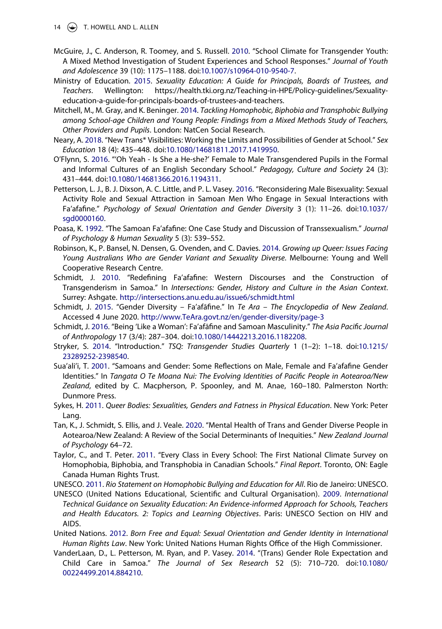- 14  $\left(\frac{1}{2}\right)$  T. HOWELL AND L. ALLEN
- <span id="page-14-13"></span>McGuire, J., C. Anderson, R. Toomey, and S. Russell. [2010](#page-3-1). "School Climate for Transgender Youth: A Mixed Method Investigation of Student Experiences and School Responses." *Journal of Youth and Adolescence* 39 (10): 1175–1188. doi:[10.1007/s10964-010-9540-7.](https://doi.org/10.1007/s10964-010-9540-7)
- <span id="page-14-8"></span>Ministry of Education. [2015](#page-2-2). *Sexuality Education: A Guide for Principals, Boards of Trustees, and Teachers*. Wellington: https://health.tki.org.nz/Teaching-in-HPE/Policy-guidelines/Sexualityeducation-a-guide-for-principals-boards-of-trustees-and-teachers.
- <span id="page-14-12"></span>Mitchell, M., M. Gray, and K. Beninger. [2014.](#page-3-6) *Tackling Homophobic, Biphobia and Transphobic Bullying among School-age Children and Young People: Findings from a Mixed Methods Study of Teachers, Other Providers and Pupils*. London: NatCen Social Research.
- <span id="page-14-19"></span>Neary, A. [2018](#page-10-1). "New Trans\* Visibilities: Working the Limits and Possibilities of Gender at School." *Sex Education* 18 (4): 435–448. doi:[10.1080/14681811.2017.1419950.](https://doi.org/10.1080/14681811.2017.1419950)
- <span id="page-14-15"></span>O'Flynn, S. [2016.](#page-3-7) "'Oh Yeah - Is She a He-she?' Female to Male Transgendered Pupils in the Formal and Informal Cultures of an English Secondary School." *Pedagogy, Culture and Society* 24 (3): 431–444. doi:[10.1080/14681366.2016.1194311.](https://doi.org/10.1080/14681366.2016.1194311)
- <span id="page-14-6"></span>Petterson, L. J., B. J. Dixson, A. C. Little, and P. L. Vasey. [2016.](#page-2-3) "Reconsidering Male Bisexuality: Sexual Activity Role and Sexual Attraction in Samoan Men Who Engage in Sexual Interactions with Fa'afafine." *Psychology of Sexual Orientation and Gender Diversity* 3 (1): 11–26. doi:[10.1037/](https://doi.org/10.1037/sgd0000160) [sgd0000160](https://doi.org/10.1037/sgd0000160).
- <span id="page-14-7"></span>Poasa, K. [1992.](#page-2-3) "The Samoan Fa'afafine: One Case Study and Discussion of Transsexualism." *Journal of Psychology & Human Sexuality* 5 (3): 539–552.
- <span id="page-14-18"></span>Robinson, K., P. Bansel, N. Densen, G. Ovenden, and C. Davies. [2014](#page-9-0). *Growing up Queer: Issues Facing Young Australians Who are Gender Variant and Sexuality Diverse*. Melbourne: Young and Well Cooperative Research Centre.
- <span id="page-14-1"></span>Schmidt, J. [2010](#page-1-0). "Redefining Fa'afafine: Western Discourses and the Construction of Transgenderism in Samoa." In *Intersections: Gender, History and Culture in the Asian Context*. Surrey: Ashgate. <http://intersections.anu.edu.au/issue6/schmidt.html>
- <span id="page-14-4"></span>Schmidt, J. [2015](#page-1-3). "Gender Diversity – Fa'afāfine." In *Te Ara – The Encyclopedia of New Zealand*. Accessed 4 June 2020. <http://www.TeAra.govt.nz/en/gender-diversity/page-3>
- <span id="page-14-0"></span>Schmidt, J. [2016.](#page-1-4) "Being 'Like a Woman': Fa'afāfine and Samoan Masculinity." *The Asia Pacific Journal of Anthropology* 17 (3/4): 287–304. doi:[10.1080/14442213.2016.1182208](https://doi.org/10.1080/14442213.2016.1182208).
- <span id="page-14-5"></span>Stryker, S. [2014.](#page-2-4) "Introduction." *TSQ: Transgender Studies Quarterly* 1 (1–2): 1–18. doi:[10.1215/](https://doi.org/10.1215/23289252-2398540) [23289252-2398540](https://doi.org/10.1215/23289252-2398540).
- <span id="page-14-3"></span>Sua'ali'i, T. [2001](#page-1-5). "Samoans and Gender: Some Reflections on Male, Female and Fa'afafine Gender Identities." In *Tangata O Te Moana Nui: The Evolving Identities of Pacific People in Aotearoa/New Zealand*, edited by C. Macpherson, P. Spoonley, and M. Anae, 160–180. Palmerston North: Dunmore Press.
- <span id="page-14-17"></span>Sykes, H. [2011.](#page-7-1) *Queer Bodies: Sexualities, Genders and Fatness in Physical Education*. New York: Peter Lang.
- <span id="page-14-16"></span>Tan, K., J. Schmidt, S. Ellis, and J. Veale. [2020.](#page-4-8) "Mental Health of Trans and Gender Diverse People in Aotearoa/New Zealand: A Review of the Social Determinants of Inequities." *New Zealand Journal of Psychology* 64–72.
- <span id="page-14-14"></span>Taylor, C., and T. Peter. [2011](#page-3-1). "Every Class in Every School: The First National Climate Survey on Homophobia, Biphobia, and Transphobia in Canadian Schools." *Final Report*. Toronto, ON: Eagle Canada Human Rights Trust.

<span id="page-14-10"></span>UNESCO. [2011](#page-2-5). *Rio Statement on Homophobic Bullying and Education for All*. Rio de Janeiro: UNESCO.

- <span id="page-14-9"></span>UNESCO (United Nations Educational, Scientific and Cultural Organisation). [2009](#page-2-5). *International Technical Guidance on Sexuality Education: An Evidence-informed Approach for Schools, Teachers and Health Educators. 2: Topics and Learning Objectives*. Paris: UNESCO Section on HIV and AIDS.
- <span id="page-14-11"></span>United Nations. [2012.](#page-2-6) *Born Free and Equal: Sexual Orientation and Gender Identity in International Human Rights Law*. New York: United Nations Human Rights Office of the High Commissioner.
- <span id="page-14-2"></span>VanderLaan, D., L. Petterson, M. Ryan, and P. Vasey. [2014.](#page-1-0) "(Trans) Gender Role Expectation and Child Care in Samoa." *The Journal of Sex Research* 52 (5): 710–720. doi:[10.1080/](https://doi.org/10.1080/00224499.2014.884210) [00224499.2014.884210.](https://doi.org/10.1080/00224499.2014.884210)